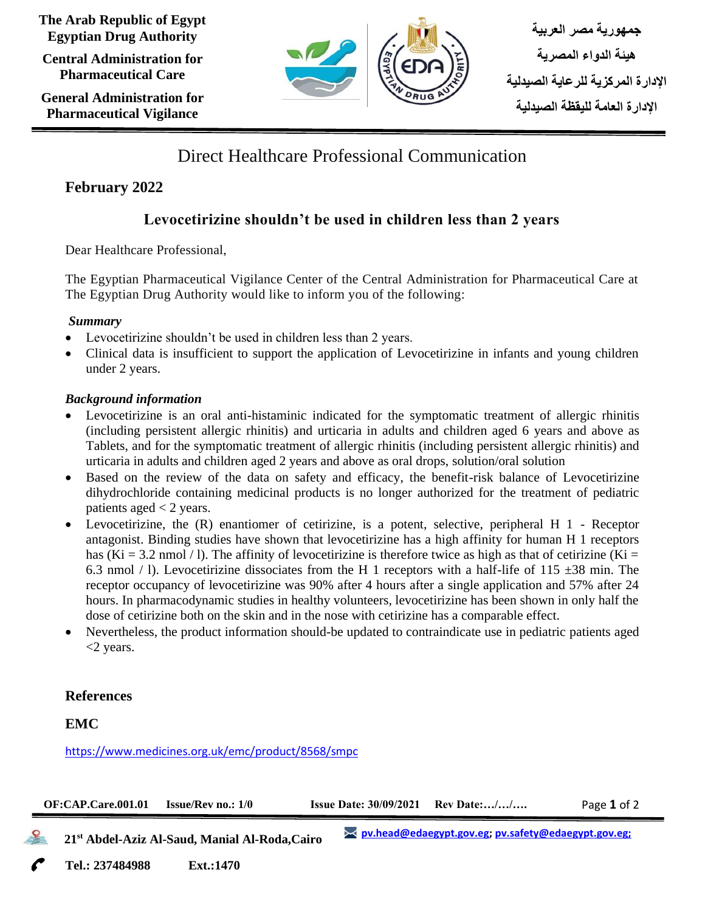**The Arab Republic of Egypt Egyptian Drug Authority**

**Central Administration for Pharmaceutical Care**

**General Administration for Pharmaceutical Vigilance**



# Direct Healthcare Professional Communication

## **February 2022**

## **Levocetirizine shouldn't be used in children less than 2 years**

Dear Healthcare Professional,

The Egyptian Pharmaceutical Vigilance Center of the Central Administration for Pharmaceutical Care at The Egyptian Drug Authority would like to inform you of the following:

#### *Summary*

- Levocetirizine shouldn't be used in children less than 2 years.
- Clinical data is insufficient to support the application of Levocetirizine in infants and young children under 2 years.

### *Background information*

- Levocetirizine is an oral anti-histaminic indicated for the symptomatic treatment of allergic rhinitis (including persistent allergic rhinitis) and urticaria in adults and children aged 6 years and above as Tablets, and for the symptomatic treatment of allergic rhinitis (including persistent allergic rhinitis) and urticaria in adults and children aged 2 years and above as oral drops, solution/oral solution
- Based on the review of the data on safety and efficacy, the benefit-risk balance of Levocetirizine dihydrochloride containing medicinal products is no longer authorized for the treatment of pediatric patients aged  $<$  2 years.
- Levocetirizine, the (R) enantiomer of cetirizine, is a potent, selective, peripheral H 1 Receptor antagonist. Binding studies have shown that levocetirizine has a high affinity for human H 1 receptors has (Ki = 3.2 nmol / l). The affinity of levocetirizine is therefore twice as high as that of cetirizine (Ki = 6.3 nmol / 1). Levocetirizine dissociates from the H 1 receptors with a half-life of 115  $\pm$ 38 min. The receptor occupancy of levocetirizine was 90% after 4 hours after a single application and 57% after 24 hours. In pharmacodynamic studies in healthy volunteers, levocetirizine has been shown in only half the dose of cetirizine both on the skin and in the nose with cetirizine has a comparable effect.
- Nevertheless, the product information should-be updated to contraindicate use in pediatric patients aged <2 years.

### **References**

### **EMC**

<https://www.medicines.org.uk/emc/product/8568/smpc>



 **21st Abdel-Aziz Al-Saud, Manial Al-Roda,Cairo**

**[pv.head@edaegypt.gov.eg;](mailto:pv.head@edaegypt.gov.eg) [pv.safety@edaegypt.gov.eg;](mailto:pv.safety@edaegypt.gov.eg;)**

**Tel.: 237484988 Ext.:1470 Cairo**